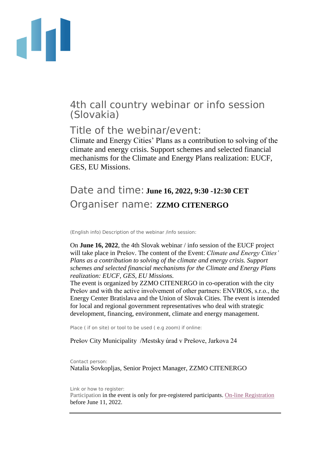

## 4th call country webinar or info session (Slovakia)

## Title of the webinar/event:

Climate and Energy Cities' Plans as a contribution to solving of the climate and energy crisis. Support schemes and selected financial mechanisms for the Climate and Energy Plans realization: EUCF, GES, EU Missions.

## Date and time: **June 16, 2022, 9:30 -12:30 CET** Organiser name: **ZZMO CITENERGO**

(English info) Description of the webinar /info session:

On **June 16, 2022**, the 4th Slovak webinar / info session of the EUCF project will take place in Prešov. The content of the Event: *Climate and Energy Cities' Plans as a contribution to solving of the climate and energy crisis. Support schemes and selected financial mechanisms for the Climate and Energy Plans realization: EUCF, GES, EU Missions.*

The event is organized by ZZMO CITENERGO in co-operation with the city Prešov and with the active involvement of other partners: ENVIROS, s.r.o., the Energy Center Bratislava and the Union of Slovak Cities. The event is intended for local and regional government representatives who deal with strategic development, financing, environment, climate and energy management.

Place ( if on site) or tool to be used ( e.g zoom) if online:

Prešov City Municipality /Mestsky úrad v Prešove, Jarkova 24

Contact person: Natalia Sovkopljas, Senior Project Manager, ZZMO CITENERGO

Link or how to register:

Participation in the event is only for pre-registered participants. [On-line Registration](https://docs.google.com/forms/d/1ZwduUFDeUGARer-VdWRiZtjr3z3RMvGoOkyqRHIoN3s/edit) before June 11, 2022.